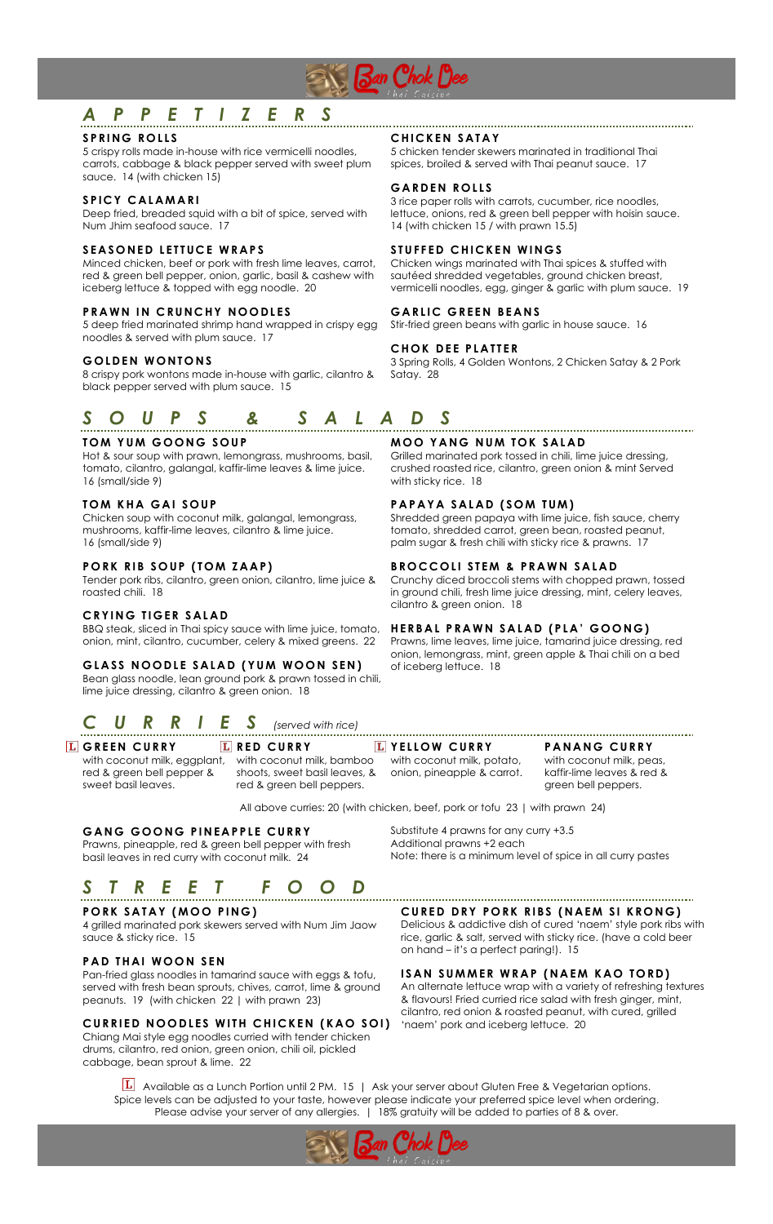

# *A P P E T I Z E R S*

# **S P R I NG R O L L S**

5 crispy rolls made in-house with rice vermicelli noodles, carrots, cabbage & black pepper served with sweet plum sauce. 14 (with chicken 15)

#### **SPICY CALAMARI**

Deep fried, breaded squid with a bit of spice, served with Num Jhim seafood sauce. 17

## **SEASONED LETTUCE WRAPS**

Minced chicken, beef or pork with fresh lime leaves, carrot, red & green bell pepper, onion, garlic, basil & cashew with iceberg lettuce & topped with egg noodle. 20

# **PRAWN IN CRUNCHY NOODLES**

5 deep fried marinated shrimp hand wrapped in crispy egg noodles & served with plum sauce. 17

#### **GOLDEN WONTONS**

8 crispy pork wontons made in-house with garlic, cilantro & black pepper served with plum sauce. 15

# *S O U P S & S A L A D S*

# **T O M Y U M G O O N G S O U P**

Hot & sour soup with prawn, lemongrass, mushrooms, basil, tomato, cilantro, galangal, kaffir-lime leaves & lime juice. 16 (small/side 9)

# **TOM KHA GAI SOUP**

Chicken soup with coconut milk, galangal, lemongrass, mushrooms, kaffir-lime leaves, cilantro & lime juice. 16 (small/side 9)

#### **PORK RIB SOUP (TOM ZAAP)**

Tender pork ribs, cilantro, green onion, cilantro, lime juice & roasted chili. 18

#### **CRYING TIGER SALAD**

BBQ steak, sliced in Thai spicy sauce with lime juice, tomato, onion, mint, cilantro, cucumber, celery & mixed greens. 22

#### **G L A S S N O O D L E S AL A D ( Y U M WO O N S EN )**

Bean glass noodle, lean ground pork & prawn tossed in chili, lime juice dressing, cilantro & green onion. 18

# *C URR I E S (served with rice)*

**G REE N C U R R Y** with coconut milk, eggplant, with coconut milk, bamboo red & green bell pepper & sweet basil leaves.

**L** RED CURRY shoots, sweet basil leaves, & onion, pineapple & carrot. red & green bell peppers.

#### **CHICKEN SATAY**

5 chicken tender skewers marinated in traditional Thai spices, broiled & served with Thai peanut sauce. 17

#### **G A RDE N R O L L S**

3 rice paper rolls with carrots, cucumber, rice noodles, lettuce, onions, red & green bell pepper with hoisin sauce. 14 (with chicken 15 / with prawn 15.5)

#### **STUFFED CHICKEN WINGS**

Chicken wings marinated with Thai spices & stuffed with sautéed shredded vegetables, ground chicken breast, vermicelli noodles, egg, ginger & garlic with plum sauce. 19

#### **G A R L I C G REE N B E A N S**

Stir-fried green beans with garlic in house sauce. 16

#### **CHOK DEE PLATTER**

3 Spring Rolls, 4 Golden Wontons, 2 Chicken Satay & 2 Pork Satay. 28

# **MOO YANG NUM TOK SALAD**

Grilled marinated pork tossed in chili, lime juice dressing, crushed roasted rice, cilantro, green onion & mint Served with sticky rice. 18

# **PAPAYA SALAD (SOM TUM)**

Shredded green papaya with lime juice, fish sauce, cherry tomato, shredded carrot, green bean, roasted peanut, palm sugar & fresh chili with sticky rice & prawns. 17

# **BROCCOLI STEM & PRAWN SALAD**

Crunchy diced broccoli stems with chopped prawn, tossed in ground chili, fresh lime juice dressing, mint, celery leaves, cilantro & green onion. 18

#### **HERB A L P R A W N S A L A D ( P L A ' G O O NG )**

Prawns, lime leaves, lime juice, tamarind juice dressing, red onion, lemongrass, mint, green apple & Thai chili on a bed of iceberg lettuce. 18

#### **L** YELLOW CURRY

with coconut milk, potato,

#### **P ANAN G CU R R Y**

with coconut milk, peas, kaffir-lime leaves & red & green bell peppers.

All above curries: 20 (with chicken, beef, pork or tofu 23 | with prawn 24)

#### **G A N G G O O NG P I N E A P P L E C U R R Y**

Prawns, pineapple, red & green bell pepper with fresh basil leaves in red curry with coconut milk. 24

# *S T R E E T F O O D*

#### **P O RK S A T AY ( M O O P I N G )**

4 grilled marinated pork skewers served with Num Jim Jaow sauce & sticky rice. 15

#### **P A D TH A I WO O N S EN**

Pan-fried glass noodles in tamarind sauce with eggs & tofu, served with fresh bean sprouts, chives, carrot, lime & ground peanuts. 19 (with chicken 22 | with prawn 23)

# **C URRIE D N O O D L E S W I TH C HICK E N (K AO S O I)**

Chiang Mai style egg noodles curried with tender chicken drums, cilantro, red onion, green onion, chili oil, pickled cabbage, bean sprout & lime. 22

Substitute 4 prawns for any curry +3.5 Additional prawns +2 each Note: there is a minimum level of spice in all curry pastes

**C URED D R Y P O R K R I B S ( N A E M SI K R O N G )**

Delicious & addictive dish of cured 'naem' style pork ribs with rice, garlic & salt, served with sticky rice. (have a cold beer on hand – it's a perfect paring!). 15

#### **ISAN SUMMER WRAP (NAEM KAO TORD)**

An alternate lettuce wrap with a variety of refreshing textures & flavours! Fried curried rice salad with fresh ginger, mint, cilantro, red onion & roasted peanut, with cured, grilled 'naem' pork and iceberg lettuce. 20

 $L$  Available as a Lunch Portion until 2 PM. 15 | Ask your server about Gluten Free & Vegetarian options. Spice levels can be adjusted to your taste, however please indicate your preferred spice level when ordering. Please advise your server of any allergies. | 18% gratuity will be added to parties of 8 & over.